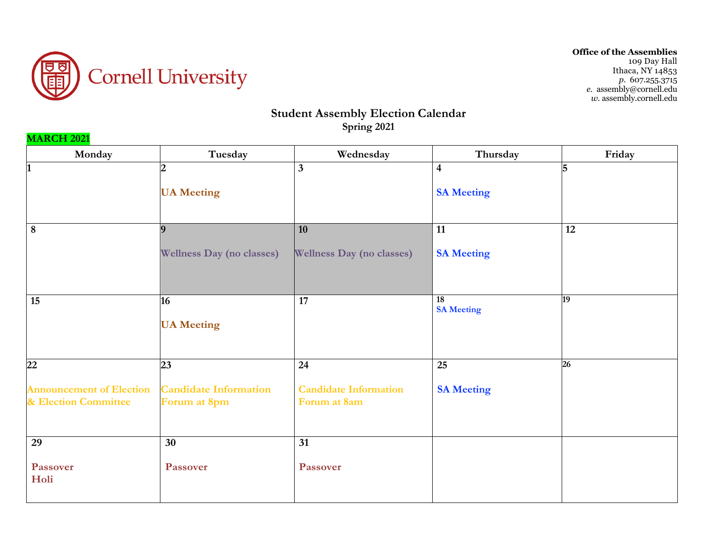

 **Office of the Assemblies**  109 Day Hall Ithaca, NY 14853 *p.* 607.255.3715 *e.* assembly@cornell.edu *w.* assembly.cornell.edu

## **Student Assembly Election Calendar**

| Spring 2021<br><b>MARCH 2021</b>                        |                                              |                                              |                         |                 |  |  |  |
|---------------------------------------------------------|----------------------------------------------|----------------------------------------------|-------------------------|-----------------|--|--|--|
| Monday                                                  | Tuesday                                      | Wednesday                                    | Thursday                | Friday          |  |  |  |
| $\mathbf{1}$                                            | $\overline{2}$                               | $\overline{\mathbf{3}}$                      | $\overline{4}$          | 5               |  |  |  |
|                                                         | <b>UA Meeting</b>                            |                                              | <b>SA Meeting</b>       |                 |  |  |  |
| $\bf 8$                                                 | $\mathbf{o}$                                 | 10                                           | $\overline{11}$         | 12              |  |  |  |
|                                                         | <b>Wellness Day (no classes)</b>             | <b>Wellness Day (no classes)</b>             | <b>SA Meeting</b>       |                 |  |  |  |
|                                                         |                                              |                                              |                         |                 |  |  |  |
| 15                                                      | 16                                           | 17                                           | 18<br><b>SA Meeting</b> | 19              |  |  |  |
|                                                         | <b>UA Meeting</b>                            |                                              |                         |                 |  |  |  |
| $\overline{22}$                                         | 23                                           | 24                                           | 25                      | $\overline{26}$ |  |  |  |
| <b>Announcement of Election</b><br>& Election Committee | <b>Candidate Information</b><br>Forum at 8pm | <b>Candidate Information</b><br>Forum at 8am | <b>SA Meeting</b>       |                 |  |  |  |
| 29                                                      | 30                                           | 31                                           |                         |                 |  |  |  |
|                                                         |                                              |                                              |                         |                 |  |  |  |
| Passover<br>Holi                                        | Passover                                     | Passover                                     |                         |                 |  |  |  |
|                                                         |                                              |                                              |                         |                 |  |  |  |

## **MARCH 2021**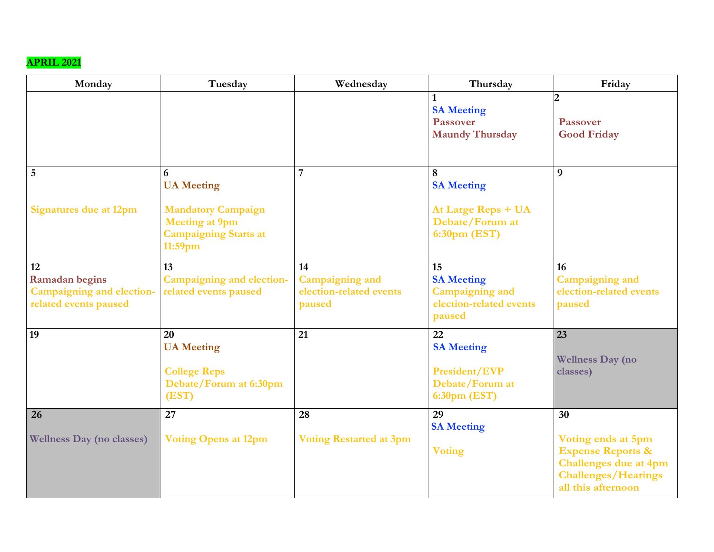## **APRIL 2021**

| Monday                                                                             | Tuesday                                                                                       | Wednesday                                                   | Thursday                                                                         | Friday                                                                                                                                 |
|------------------------------------------------------------------------------------|-----------------------------------------------------------------------------------------------|-------------------------------------------------------------|----------------------------------------------------------------------------------|----------------------------------------------------------------------------------------------------------------------------------------|
|                                                                                    |                                                                                               |                                                             | <b>SA Meeting</b><br><b>Passover</b><br><b>Maundy Thursday</b>                   | Passover<br><b>Good Friday</b>                                                                                                         |
| 5                                                                                  | 6<br><b>UA</b> Meeting                                                                        | $\overline{7}$                                              | 8<br><b>SA Meeting</b>                                                           | 9                                                                                                                                      |
| <b>Signatures due at 12pm</b>                                                      | <b>Mandatory Campaign</b><br><b>Meeting at 9pm</b><br><b>Campaigning Starts at</b><br>11:59pm |                                                             | At Large Reps + UA<br>Debate/Forum at<br>6:30pm (EST)                            |                                                                                                                                        |
| 12                                                                                 | 13                                                                                            | 14                                                          | 15                                                                               | 16                                                                                                                                     |
| <b>Ramadan</b> begins<br><b>Campaigning and election-</b><br>related events paused | <b>Campaigning and election-</b><br>related events paused                                     | <b>Campaigning and</b><br>election-related events<br>paused | <b>SA Meeting</b><br><b>Campaigning and</b><br>election-related events<br>paused | <b>Campaigning and</b><br>election-related events<br>paused                                                                            |
| 19                                                                                 | 20                                                                                            | 21                                                          | 22                                                                               | 23                                                                                                                                     |
|                                                                                    | <b>UA</b> Meeting<br><b>College Reps</b><br>Debate/Forum at 6:30pm<br>(EST)                   |                                                             | <b>SA Meeting</b><br>President/EVP<br>Debate/Forum at<br>6:30pm (EST)            | <b>Wellness Day (no</b><br>classes)                                                                                                    |
| 26                                                                                 | 27                                                                                            | 28                                                          | 29                                                                               | 30                                                                                                                                     |
| <b>Wellness Day (no classes)</b>                                                   | <b>Voting Opens at 12pm</b>                                                                   | <b>Voting Restarted at 3pm</b>                              | <b>SA Meeting</b><br><b>Voting</b>                                               | Voting ends at 5pm<br><b>Expense Reports &amp;</b><br><b>Challenges due at 4pm</b><br><b>Challenges/Hearings</b><br>all this afternoon |